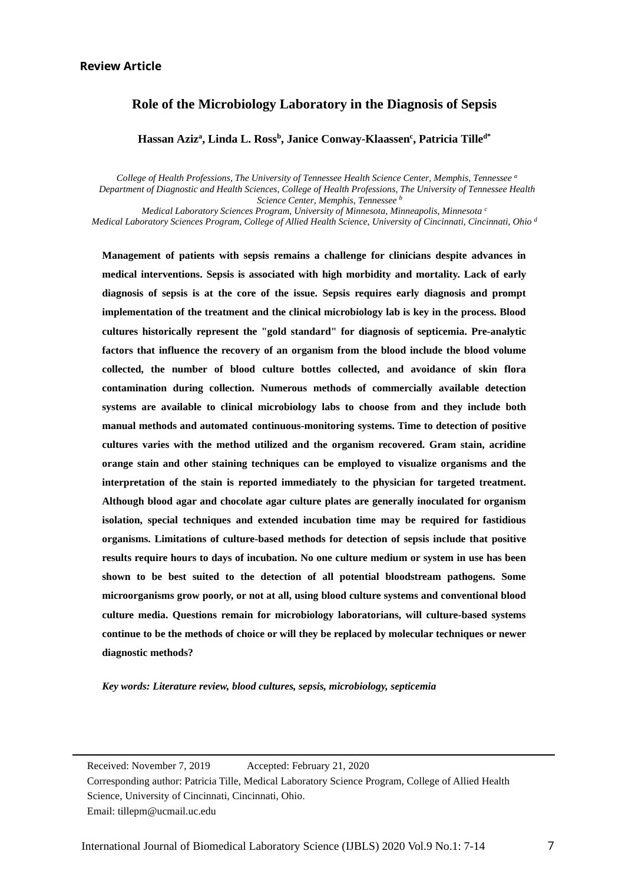## **Review Article**

Ξ

# **Role of the Microbiology Laboratory in the Diagnosis of Sepsis**

**Hassan Aziza , Linda L. Rossb , Janice Conway-Klaassenc , Patricia Tilled\***

 *College of Health Professions, The University of Tennessee Health Science Center, Memphis, Tennessee a Department of Diagnostic and Health Sciences, College of Health Professions, The University of Tennessee Health Science Center, Memphis, Tennessee b*

 *Medical Laboratory Sciences Program, University of Minnesota, Minneapolis, Minnesota c Medical Laboratory Sciences Program, College of Allied Health Science, University of Cincinnati, Cincinnati, Ohio d*

 **cultures varies with the method utilized and the organism recovered. Gram stain, acridine orange stain and other staining techniques can be employed to visualize organisms and the Management of patients with sepsis remains a challenge for clinicians despite advances in medical interventions. Sepsis is associated with high morbidity and mortality. Lack of early diagnosis of sepsis is at the core of the issue. Sepsis requires early diagnosis and prompt implementation of the treatment and the clinical microbiology lab is key in the process. Blood cultures historically represent the "gold standard" for diagnosis of septicemia. Pre-analytic factors that influence the recovery of an organism from the blood include the blood volume collected, the number of blood culture bottles collected, and avoidance of skin flora contamination during collection. Numerous methods of commercially available detection systems are available to clinical microbiology labs to choose from and they include both manual methods and automated continuous-monitoring systems. Time to detection of positive interpretation of the stain is reported immediately to the physician for targeted treatment. Although blood agar and chocolate agar culture plates are generally inoculated for organism isolation, special techniques and extended incubation time may be required for fastidious organisms. Limitations of culture-based methods for detection of sepsis include that positive results require hours to days of incubation. No one culture medium or system in use has been shown to be best suited to the detection of all potential bloodstream pathogens. Some microorganisms grow poorly, or not at all, using blood culture systems and conventional blood culture media. Questions remain for microbiology laboratorians, will culture-based systems continue to be the methods of choice or will they be replaced by molecular techniques or newer diagnostic methods?**

*Key words: Literature review, blood cultures, sepsis, microbiology, septicemia*

 Received: November 7, 2019 Accepted: February 21, 2020 Corresponding author: Patricia Tille, Medical Laboratory Science Program, College of Allied Health Science, University of Cincinnati, Cincinnati, Ohio. Email: tillepm@ucmail.uc.edu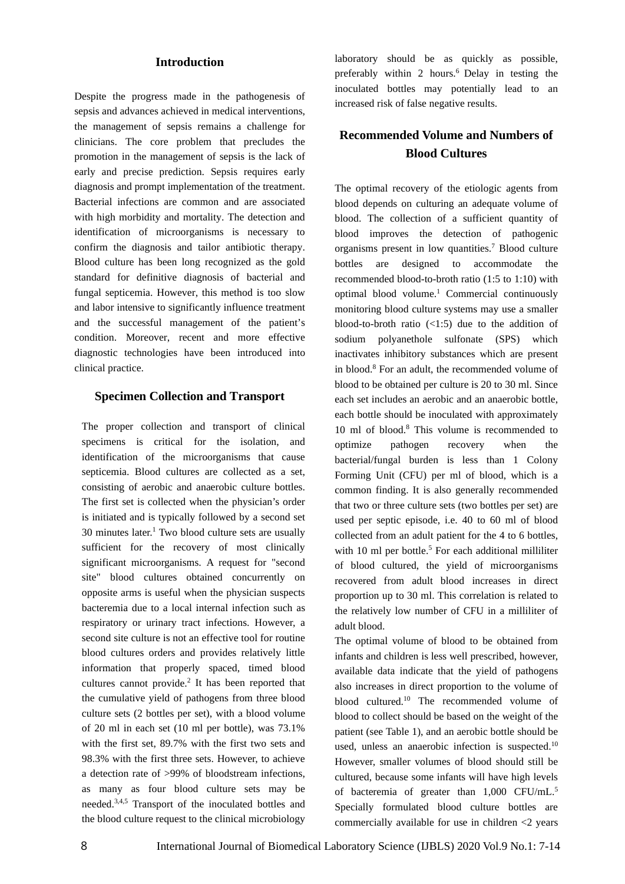## **Introduction**

Despite the progress made in the pathogenesis of sepsis and advances achieved in medical interventions, the management of sepsis remains a challenge for clinicians. The core problem that precludes the promotion in the management of sepsis is the lack of early and precise prediction. Sepsis requires early diagnosis and prompt implementation of the treatment. Bacterial infections are common and are associated with high morbidity and mortality. The detection and identification of microorganisms is necessary to confirm the diagnosis and tailor antibiotic therapy. Blood culture has been long recognized as the gold standard for definitive diagnosis of bacterial and fungal septicemia. However, this method is too slow and labor intensive to significantly influence treatment and the successful management of the patient's condition. Moreover, recent and more effective diagnostic technologies have been introduced into clinical practice.

## **Specimen Collection and Transport**

The proper collection and transport of clinical specimens is critical for the isolation, and identification of the microorganisms that cause septicemia. Blood cultures are collected as a set, consisting of aerobic and anaerobic culture bottles. The first set is collected when the physician's order is initiated and is typically followed by a second set  $30$  minutes later.<sup>1</sup> Two blood culture sets are usually sufficient for the recovery of most clinically significant microorganisms. A request for "second site" blood cultures obtained concurrently on opposite arms is useful when the physician suspects bacteremia due to a local internal infection such as respiratory or urinary tract infections. However, a second site culture is not an effective tool for routine blood cultures orders and provides relatively little information that properly spaced, timed blood cultures cannot provide.2 It has been reported that the cumulative yield of pathogens from three blood culture sets (2 bottles per set), with a blood volume of 20 ml in each set (10 ml per bottle), was 73.1% with the first set, 89.7% with the first two sets and 98.3% with the first three sets. However, to achieve a detection rate of >99% of bloodstream infections, as many as four blood culture sets may be needed.3,4,5 Transport of the inoculated bottles and the blood culture request to the clinical microbiology

laboratory should be as quickly as possible, preferably within 2 hours.<sup>6</sup> Delay in testing the inoculated bottles may potentially lead to an increased risk of false negative results.

## **Recommended Volume and Numbers of Blood Cultures**

The optimal recovery of the etiologic agents from blood depends on culturing an adequate volume of blood. The collection of a sufficient quantity of blood improves the detection of pathogenic organisms present in low quantities.7 Blood culture bottles are designed to accommodate the recommended blood-to-broth ratio (1:5 to 1:10) with optimal blood volume.<sup>1</sup> Commercial continuously monitoring blood culture systems may use a smaller blood-to-broth ratio  $\left($ <1:5) due to the addition of sodium polyanethole sulfonate (SPS) which inactivates inhibitory substances which are present in blood.8 For an adult, the recommended volume of blood to be obtained per culture is 20 to 30 ml. Since each set includes an aerobic and an anaerobic bottle, each bottle should be inoculated with approximately 10 ml of blood.8 This volume is recommended to optimize pathogen recovery when the bacterial/fungal burden is less than 1 Colony Forming Unit (CFU) per ml of blood, which is a common finding. It is also generally recommended that two or three culture sets (two bottles per set) are used per septic episode, i.e. 40 to 60 ml of blood collected from an adult patient for the 4 to 6 bottles, with 10 ml per bottle.<sup>5</sup> For each additional milliliter of blood cultured, the yield of microorganisms recovered from adult blood increases in direct proportion up to 30 ml. This correlation is related to the relatively low number of CFU in a milliliter of adult blood.

The optimal volume of blood to be obtained from infants and children is less well prescribed, however, available data indicate that the yield of pathogens also increases in direct proportion to the volume of blood cultured.10 The recommended volume of blood to collect should be based on the weight of the patient (see Table 1), and an aerobic bottle should be used, unless an anaerobic infection is suspected.<sup>10</sup> However, smaller volumes of blood should still be cultured, because some infants will have high levels of bacteremia of greater than 1,000 CFU/mL.5 Specially formulated blood culture bottles are commercially available for use in children <2 years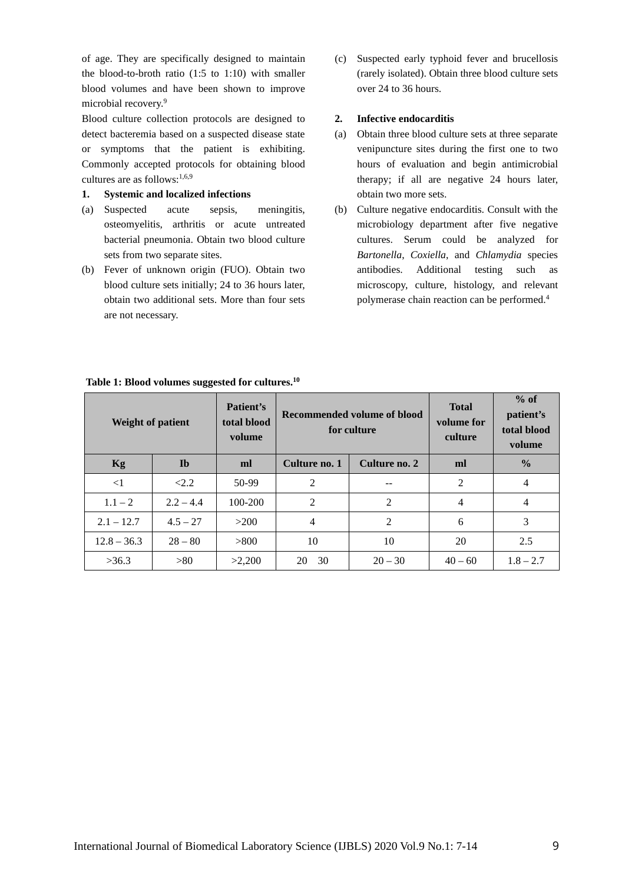of age. They are specifically designed to maintain the blood-to-broth ratio (1:5 to 1:10) with smaller blood volumes and have been shown to improve microbial recovery.9

Blood culture collection protocols are designed to detect bacteremia based on a suspected disease state or symptoms that the patient is exhibiting. Commonly accepted protocols for obtaining blood cultures are as follows:1,6,9

#### **1. Systemic and localized infections**

- (a) Suspected acute sepsis, meningitis, osteomyelitis, arthritis or acute untreated bacterial pneumonia. Obtain two blood culture sets from two separate sites.
- (b) Fever of unknown origin (FUO). Obtain two blood culture sets initially; 24 to 36 hours later, obtain two additional sets. More than four sets are not necessary.

(c) Suspected early typhoid fever and brucellosis (rarely isolated). Obtain three blood culture sets over 24 to 36 hours.

## **2. Infective endocarditis**

- (a) Obtain three blood culture sets at three separate venipuncture sites during the first one to two hours of evaluation and begin antimicrobial therapy; if all are negative 24 hours later, obtain two more sets.
- (b) Culture negative endocarditis. Consult with the microbiology department after five negative cultures. Serum could be analyzed for *Bartonella*, *Coxiella*, and *Chlamydia* species antibodies. Additional testing such as microscopy, culture, histology, and relevant polymerase chain reaction can be performed.4

| <b>Weight of patient</b> |              | Patient's<br>total blood<br>volume | Recommended volume of blood<br>for culture |               | <b>Total</b><br>volume for<br>culture | $%$ of<br>patient's<br>total blood<br>volume |
|--------------------------|--------------|------------------------------------|--------------------------------------------|---------------|---------------------------------------|----------------------------------------------|
| Kg                       | $\mathbf{I}$ | ml                                 | Culture no. 1                              | Culture no. 2 | ml                                    | $\frac{0}{0}$                                |
| $\leq$ 1                 | 2.2          | 50-99                              | 2                                          | --            | $\overline{2}$                        | 4                                            |
| $1.1 - 2$                | $2.2 - 4.4$  | 100-200                            | 2                                          | 2             | $\overline{4}$                        | 4                                            |
| $2.1 - 12.7$             | $4.5 - 27$   | >200                               | $\overline{4}$                             | 2             | 6                                     | 3                                            |
| $12.8 - 36.3$            | $28 - 80$    | > 800                              | 10                                         | 10            | 20                                    | 2.5                                          |
| >36.3                    | >80          | >2,200                             | 30<br>20                                   | $20 - 30$     | $40 - 60$                             | $1.8 - 2.7$                                  |

#### **Table 1: Blood volumes suggested for cultures.10**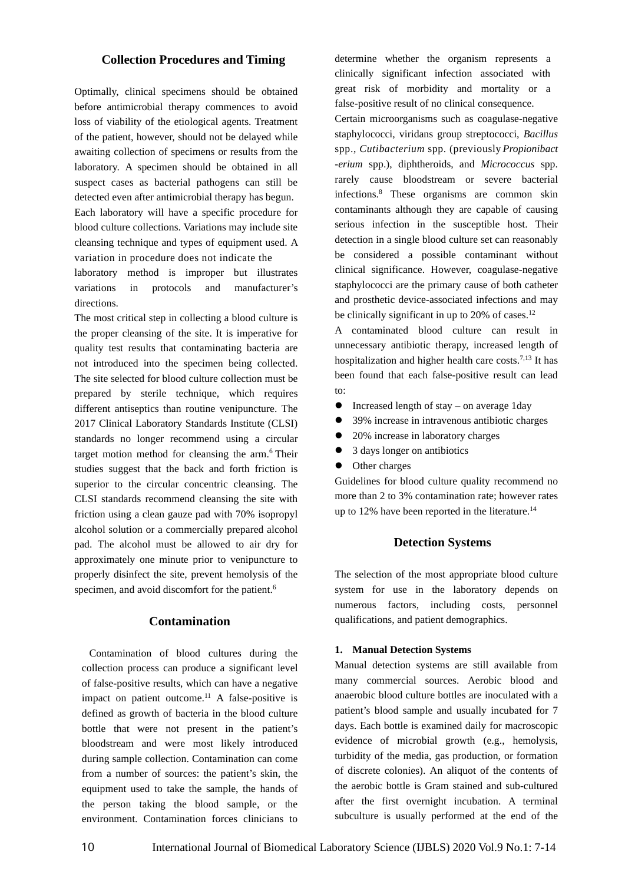## **Collection Procedures and Timing**

Optimally, clinical specimens should be obtained before antimicrobial therapy commences to avoid loss of viability of the etiological agents. Treatment of the patient, however, should not be delayed while awaiting collection of specimens or results from the laboratory. A specimen should be obtained in all suspect cases as bacterial pathogens can still be detected even after antimicrobial therapy has begun.

Each laboratory will have a specific procedure for blood culture collections. Variations may include site cleansing technique and types of equipment used. A variation in procedure does not indicate the

laboratory method is improper but illustrates variations in protocols and manufacturer's directions.

The most critical step in collecting a blood culture is the proper cleansing of the site. It is imperative for quality test results that contaminating bacteria are not introduced into the specimen being collected. The site selected for blood culture collection must be prepared by sterile technique, which requires different antiseptics than routine venipuncture. The 2017 Clinical Laboratory Standards Institute (CLSI) standards no longer recommend using a circular target motion method for cleansing the arm.<sup>6</sup> Their studies suggest that the back and forth friction is superior to the circular concentric cleansing. The CLSI standards recommend cleansing the site with friction using a clean gauze pad with 70% isopropyl alcohol solution or a commercially prepared alcohol pad. The alcohol must be allowed to air dry for approximately one minute prior to venipuncture to properly disinfect the site, prevent hemolysis of the specimen, and avoid discomfort for the patient.<sup>6</sup>

#### **Contamination**

Contamination of blood cultures during the collection process can produce a significant level of false-positive results, which can have a negative impact on patient outcome.11 A false-positive is defined as growth of bacteria in the blood culture bottle that were not present in the patient's bloodstream and were most likely introduced during sample collection. Contamination can come from a number of sources: the patient's skin, the equipment used to take the sample, the hands of the person taking the blood sample, or the environment. Contamination forces clinicians to

determine whether the organism represents a clinically significant infection associated with great risk of morbidity and mortality or a false-positive result of no clinical consequence.

Certain microorganisms such as coagulase-negative staphylococci, viridans group streptococci, *Bacillus* spp., *Cutibacterium* spp. (previously *Propionibact -erium* spp.), diphtheroids, and *Micrococcus* spp. rarely cause bloodstream or severe bacterial infections.8 These organisms are common skin contaminants although they are capable of causing serious infection in the susceptible host. Their detection in a single blood culture set can reasonably be considered a possible contaminant without clinical significance. However, coagulase-negative staphylococci are the primary cause of both catheter and prosthetic device-associated infections and may be clinically significant in up to  $20\%$  of cases.<sup>12</sup>

A contaminated blood culture can result in unnecessary antibiotic therapy, increased length of hospitalization and higher health care costs.<sup>7,13</sup> It has been found that each false-positive result can lead to:

- Increased length of stay on average 1day
- 39% increase in intravenous antibiotic charges
- 20% increase in laboratory charges
- 3 days longer on antibiotics
- Other charges

Guidelines for blood culture quality recommend no more than 2 to 3% contamination rate; however rates up to 12% have been reported in the literature.<sup>14</sup>

#### **Detection Systems**

The selection of the most appropriate blood culture system for use in the laboratory depends on numerous factors, including costs, personnel qualifications, and patient demographics.

#### **1. Manual Detection Systems**

Manual detection systems are still available from many commercial sources. Aerobic blood and anaerobic blood culture bottles are inoculated with a patient's blood sample and usually incubated for 7 days. Each bottle is examined daily for macroscopic evidence of microbial growth (e.g., hemolysis, turbidity of the media, gas production, or formation of discrete colonies). An aliquot of the contents of the aerobic bottle is Gram stained and sub-cultured after the first overnight incubation. A terminal subculture is usually performed at the end of the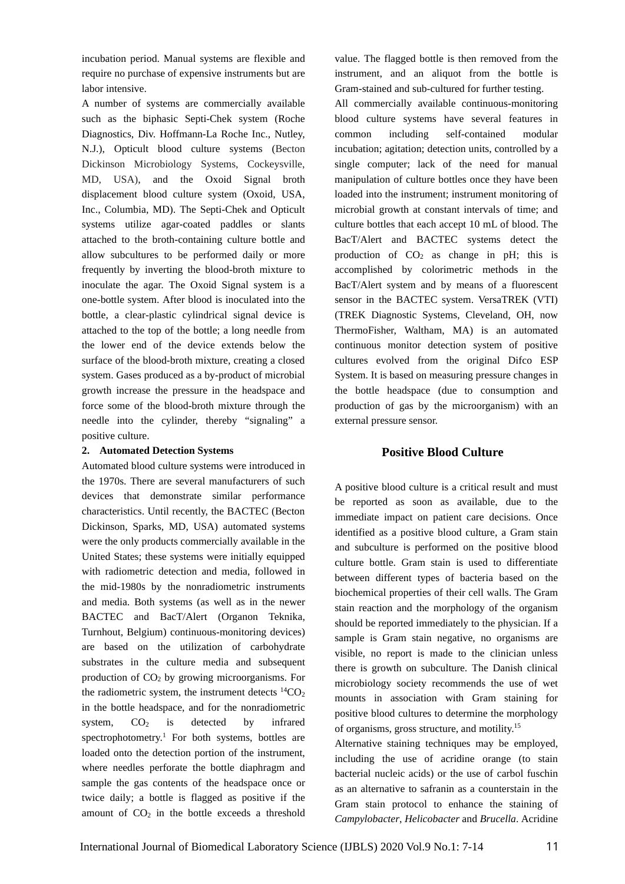incubation period. Manual systems are flexible and require no purchase of expensive instruments but are labor intensive.

A number of systems are commercially available such as the biphasic Septi-Chek system (Roche Diagnostics, Div. Hoffmann-La Roche Inc., Nutley, N.J.), Opticult blood culture systems (Becton Dickinson Microbiology Systems, Cockeysville, MD, USA), and the Oxoid Signal broth displacement blood culture system (Oxoid, USA, Inc., Columbia, MD). The Septi-Chek and Opticult systems utilize agar-coated paddles or slants attached to the broth-containing culture bottle and allow subcultures to be performed daily or more frequently by inverting the blood-broth mixture to inoculate the agar. The Oxoid Signal system is a one-bottle system. After blood is inoculated into the bottle, a clear-plastic cylindrical signal device is attached to the top of the bottle; a long needle from the lower end of the device extends below the surface of the blood-broth mixture, creating a closed system. Gases produced as a by-product of microbial growth increase the pressure in the headspace and force some of the blood-broth mixture through the needle into the cylinder, thereby "signaling" a positive culture.

#### **2. Automated Detection Systems**

Automated blood culture systems were introduced in the 1970s. There are several manufacturers of such devices that demonstrate similar performance characteristics. Until recently, the BACTEC (Becton Dickinson, Sparks, MD, USA) automated systems were the only products commercially available in the United States; these systems were initially equipped with radiometric detection and media, followed in the mid-1980s by the nonradiometric instruments and media. Both systems (as well as in the newer BACTEC and BacT/Alert (Organon Teknika, Turnhout, Belgium) continuous-monitoring devices) are based on the utilization of carbohydrate substrates in the culture media and subsequent production of  $CO<sub>2</sub>$  by growing microorganisms. For the radiometric system, the instrument detects  ${}^{14}CO_2$ in the bottle headspace, and for the nonradiometric system,  $CO<sub>2</sub>$  is detected by infrared spectrophotometry.<sup>1</sup> For both systems, bottles are loaded onto the detection portion of the instrument, where needles perforate the bottle diaphragm and sample the gas contents of the headspace once or twice daily; a bottle is flagged as positive if the amount of  $CO<sub>2</sub>$  in the bottle exceeds a threshold

value. The flagged bottle is then removed from the instrument, and an aliquot from the bottle is Gram-stained and sub-cultured for further testing.

All commercially available continuous-monitoring blood culture systems have several features in common including self-contained modular incubation; agitation; detection units, controlled by a single computer; lack of the need for manual manipulation of culture bottles once they have been loaded into the instrument; instrument monitoring of microbial growth at constant intervals of time; and culture bottles that each accept 10 mL of blood. The BacT/Alert and BACTEC systems detect the production of  $CO<sub>2</sub>$  as change in pH; this is accomplished by colorimetric methods in the BacT/Alert system and by means of a fluorescent sensor in the BACTEC system. VersaTREK (VTI) (TREK Diagnostic Systems, Cleveland, OH, now ThermoFisher, Waltham, MA) is an automated continuous monitor detection system of positive cultures evolved from the original Difco ESP System. It is based on measuring pressure changes in the bottle headspace (due to consumption and production of gas by the microorganism) with an external pressure sensor.

## **Positive Blood Culture**

A positive blood culture is a critical result and must be reported as soon as available, due to the immediate impact on patient care decisions. Once identified as a positive blood culture, a Gram stain and subculture is performed on the positive blood culture bottle. Gram stain is used to differentiate between different types of bacteria based on the biochemical properties of their cell walls. The Gram stain reaction and the morphology of the organism should be reported immediately to the physician. If a sample is Gram stain negative, no organisms are visible, no report is made to the clinician unless there is growth on subculture. The Danish clinical microbiology society recommends the use of wet mounts in association with Gram staining for positive blood cultures to determine the morphology of organisms, gross structure, and motility.15

Alternative staining techniques may be employed, including the use of acridine orange (to stain bacterial nucleic acids) or the use of carbol fuschin as an alternative to safranin as a counterstain in the Gram stain protocol to enhance the staining of *Campylobacter*, *Helicobacter* and *Brucella*. Acridine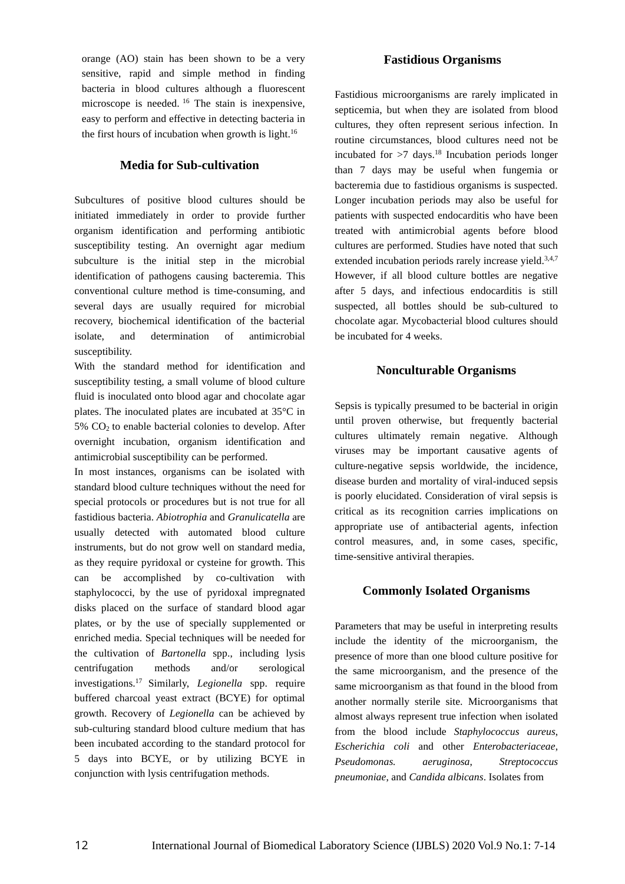orange (AO) stain has been shown to be a very sensitive, rapid and simple method in finding bacteria in blood cultures although a fluorescent microscope is needed. <sup>16</sup> The stain is inexpensive, easy to perform and effective in detecting bacteria in the first hours of incubation when growth is light.<sup>16</sup>

## **Media for Sub-cultivation**

Subcultures of positive blood cultures should be initiated immediately in order to provide further organism identification and performing antibiotic susceptibility testing. An overnight agar medium subculture is the initial step in the microbial identification of pathogens causing bacteremia. This conventional culture method is time-consuming, and several days are usually required for microbial recovery, biochemical identification of the bacterial isolate, and determination of antimicrobial susceptibility.

With the standard method for identification and susceptibility testing, a small volume of blood culture fluid is inoculated onto blood agar and chocolate agar plates. The inoculated plates are incubated at 35°C in 5% CO2 to enable bacterial colonies to develop. After overnight incubation, organism identification and antimicrobial susceptibility can be performed.

In most instances, organisms can be isolated with standard blood culture techniques without the need for special protocols or procedures but is not true for all fastidious bacteria. *Abiotrophia* and *Granulicatella* are usually detected with automated blood culture instruments, but do not grow well on standard media, as they require pyridoxal or cysteine for growth. This can be accomplished by co-cultivation with staphylococci, by the use of pyridoxal impregnated disks placed on the surface of standard blood agar plates, or by the use of specially supplemented or enriched media. Special techniques will be needed for the cultivation of *Bartonella* spp., including lysis centrifugation methods and/or serological investigations.17 Similarly, *Legionella* spp. require buffered charcoal yeast extract (BCYE) for optimal growth. Recovery of *Legionella* can be achieved by sub-culturing standard blood culture medium that has been incubated according to the standard protocol for 5 days into BCYE, or by utilizing BCYE in conjunction with lysis centrifugation methods.

## **Fastidious Organisms**

Fastidious microorganisms are rarely implicated in septicemia, but when they are isolated from blood cultures, they often represent serious infection. In routine circumstances, blood cultures need not be incubated for  $>7$  days.<sup>18</sup> Incubation periods longer than 7 days may be useful when fungemia or bacteremia due to fastidious organisms is suspected. Longer incubation periods may also be useful for patients with suspected endocarditis who have been treated with antimicrobial agents before blood cultures are performed. Studies have noted that such extended incubation periods rarely increase yield.<sup>3,4,7</sup> However, if all blood culture bottles are negative after 5 days, and infectious endocarditis is still suspected, all bottles should be sub-cultured to chocolate agar. Mycobacterial blood cultures should be incubated for 4 weeks.

## **Nonculturable Organisms**

Sepsis is typically presumed to be bacterial in origin until proven otherwise, but frequently bacterial cultures ultimately remain negative. Although viruses may be important causative agents of culture-negative sepsis worldwide, the incidence, disease burden and mortality of viral-induced sepsis is poorly elucidated. Consideration of viral sepsis is critical as its recognition carries implications on appropriate use of antibacterial agents, infection control measures, and, in some cases, specific, time-sensitive antiviral therapies.

## **Commonly Isolated Organisms**

Parameters that may be useful in interpreting results include the identity of the microorganism, the presence of more than one blood culture positive for the same microorganism, and the presence of the same microorganism as that found in the blood from another normally sterile site. Microorganisms that almost always represent true infection when isolated from the blood include *Staphylococcus aureus*, *Escherichia coli* and other *Enterobacteriaceae*, *Pseudomonas. aeruginosa*, *Streptococcus pneumoniae*, and *Candida albicans*. Isolates from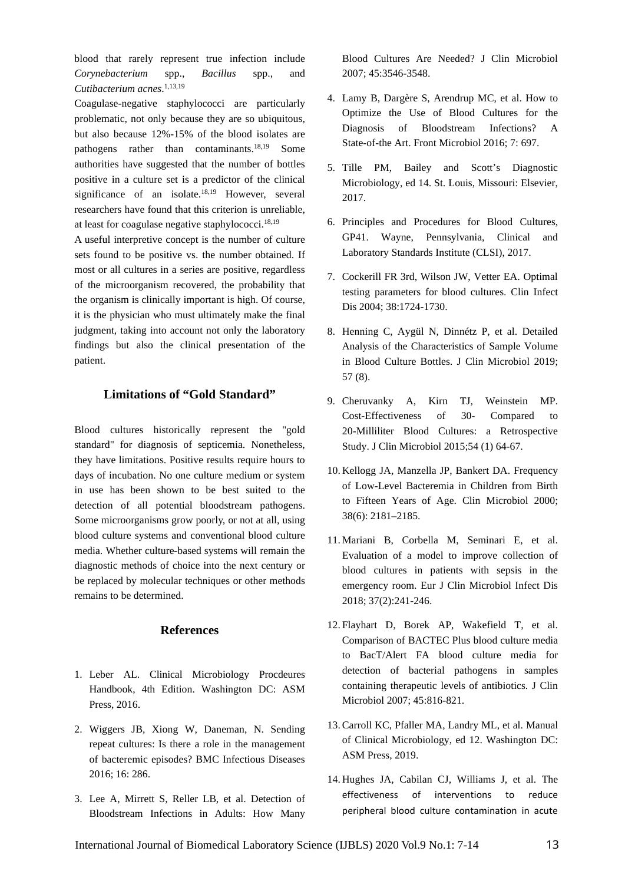blood that rarely represent true infection include *Corynebacterium* spp., *Bacillus* spp., and *Cutibacterium acnes*. 1,13,19

Coagulase-negative staphylococci are particularly problematic, not only because they are so ubiquitous, but also because 12%-15% of the blood isolates are pathogens rather than contaminants.18,19 Some authorities have suggested that the number of bottles positive in a culture set is a predictor of the clinical significance of an isolate.<sup>18,19</sup> However, several researchers have found that this criterion is unreliable, at least for coagulase negative staphylococci. 18,19

A useful interpretive concept is the number of culture sets found to be positive vs. the number obtained. If most or all cultures in a series are positive, regardless of the microorganism recovered, the probability that the organism is clinically important is high. Of course, it is the physician who must ultimately make the final judgment, taking into account not only the laboratory findings but also the clinical presentation of the patient.

## **Limitations of "Gold Standard"**

Blood cultures historically represent the "gold standard" for diagnosis of septicemia. Nonetheless, they have limitations. Positive results require hours to days of incubation. No one culture medium or system in use has been shown to be best suited to the detection of all potential bloodstream pathogens. Some microorganisms grow poorly, or not at all, using blood culture systems and conventional blood culture media. Whether culture-based systems will remain the diagnostic methods of choice into the next century or be replaced by molecular techniques or other methods remains to be determined.

#### **References**

- 1. Leber AL. Clinical Microbiology Procdeures Handbook, 4th Edition. Washington DC: ASM Press, 2016.
- 2. Wiggers JB, Xiong W, Daneman, N. Sending repeat cultures: Is there a role in the management of bacteremic episodes? BMC Infectious Diseases 2016; 16: 286.
- 3. Lee A, Mirrett S, Reller LB, et al. Detection of Bloodstream Infections in Adults: How Many

Blood Cultures Are Needed? J Clin Microbiol 2007; 45:3546-3548.

- 4. Lamy B, Dargère S, Arendrup MC, et al. How to Optimize the Use of Blood Cultures for the Diagnosis of Bloodstream Infections? A State-of-the Art. Front Microbiol 2016; 7: 697.
- 5. Tille PM, Bailey and Scott's Diagnostic Microbiology, ed 14. St. Louis, Missouri: Elsevier, 2017.
- 6. Principles and Procedures for Blood Cultures, GP41. Wayne, Pennsylvania, Clinical and Laboratory Standards Institute (CLSI), 2017.
- 7. Cockerill FR 3rd, Wilson JW, Vetter EA. Optimal testing parameters for blood cultures. Clin Infect Dis 2004; 38:1724-1730.
- 8. Henning C, Aygül N, Dinnétz P, et al. Detailed Analysis of the Characteristics of Sample Volume in Blood Culture Bottles. J Clin Microbiol 2019; 57 (8).
- 9. Cheruvanky A, Kirn TJ, Weinstein MP. Cost-Effectiveness of 30- Compared to 20-Milliliter Blood Cultures: a Retrospective Study. J Clin Microbiol 2015;54 (1) 64-67.
- 10. Kellogg JA, Manzella JP, Bankert DA. Frequency of Low-Level Bacteremia in Children from Birth to Fifteen Years of Age. Clin Microbiol 2000; 38(6): 2181–2185.
- 11. Mariani B, Corbella M, Seminari E, et al. Evaluation of a model to improve collection of blood cultures in patients with sepsis in the emergency room. Eur J Clin Microbiol Infect Dis 2018; 37(2):241-246.
- 12. Flayhart D, Borek AP, Wakefield T, et al. Comparison of BACTEC Plus blood culture media to BacT/Alert FA blood culture media for detection of bacterial pathogens in samples containing therapeutic levels of antibiotics. J Clin Microbiol 2007; 45:816-821.
- 13.Carroll KC, Pfaller MA, Landry ML, et al. Manual of Clinical Microbiology, ed 12. Washington DC: ASM Press, 2019.
- 14. Hughes JA, Cabilan CJ, Williams J, et al. The effectiveness of interventions to reduce peripheral blood culture contamination in acute